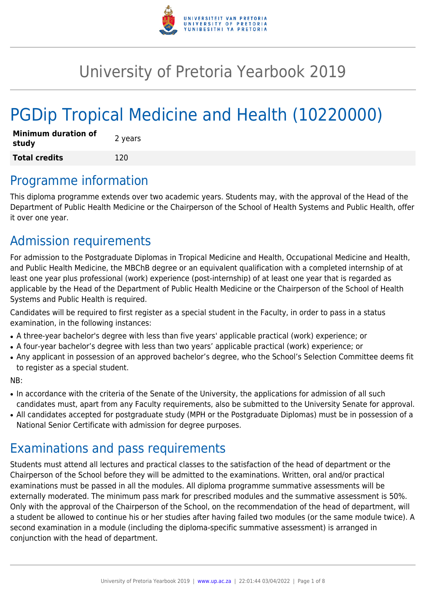

# University of Pretoria Yearbook 2019

# PGDip Tropical Medicine and Health (10220000)

| <b>Minimum duration of</b><br>study | 2 years |
|-------------------------------------|---------|
| <b>Total credits</b>                | 120     |

# Programme information

This diploma programme extends over two academic years. Students may, with the approval of the Head of the Department of Public Health Medicine or the Chairperson of the School of Health Systems and Public Health, offer it over one year.

# Admission requirements

For admission to the Postgraduate Diplomas in Tropical Medicine and Health, Occupational Medicine and Health, and Public Health Medicine, the MBChB degree or an equivalent qualification with a completed internship of at least one year plus professional (work) experience (post-internship) of at least one year that is regarded as applicable by the Head of the Department of Public Health Medicine or the Chairperson of the School of Health Systems and Public Health is required.

Candidates will be required to first register as a special student in the Faculty, in order to pass in a status examination, in the following instances:

- A three-year bachelor's degree with less than five years' applicable practical (work) experience; or
- A four-year bachelor's degree with less than two years' applicable practical (work) experience; or
- Any applicant in possession of an approved bachelor's degree, who the School's Selection Committee deems fit to register as a special student.

#### NB:

- In accordance with the criteria of the Senate of the University, the applications for admission of all such candidates must, apart from any Faculty requirements, also be submitted to the University Senate for approval.
- All candidates accepted for postgraduate study (MPH or the Postgraduate Diplomas) must be in possession of a National Senior Certificate with admission for degree purposes.

# Examinations and pass requirements

Students must attend all lectures and practical classes to the satisfaction of the head of department or the Chairperson of the School before they will be admitted to the examinations. Written, oral and/or practical examinations must be passed in all the modules. All diploma programme summative assessments will be externally moderated. The minimum pass mark for prescribed modules and the summative assessment is 50%. Only with the approval of the Chairperson of the School, on the recommendation of the head of department, will a student be allowed to continue his or her studies after having failed two modules (or the same module twice). A second examination in a module (including the diploma-specific summative assessment) is arranged in conjunction with the head of department.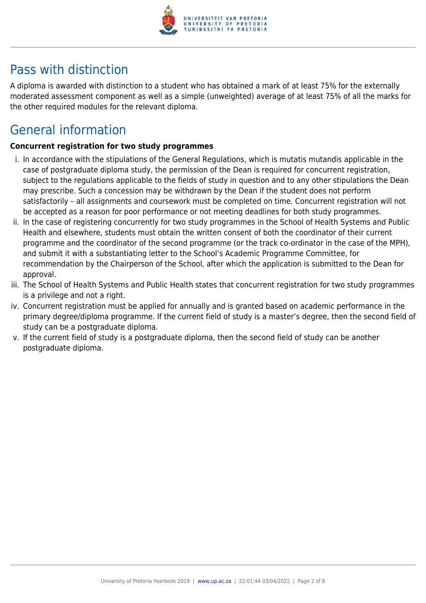

# Pass with distinction

A diploma is awarded with distinction to a student who has obtained a mark of at least 75% for the externally moderated assessment component as well as a simple (unweighted) average of at least 75% of all the marks for the other required modules for the relevant diploma.

# General information

#### **Concurrent registration for two study programmes**

- i. In accordance with the stipulations of the General Regulations, which is mutatis mutandis applicable in the case of postgraduate diploma study, the permission of the Dean is required for concurrent registration, subject to the regulations applicable to the fields of study in question and to any other stipulations the Dean may prescribe. Such a concession may be withdrawn by the Dean if the student does not perform satisfactorily – all assignments and coursework must be completed on time. Concurrent registration will not be accepted as a reason for poor performance or not meeting deadlines for both study programmes.
- ii. In the case of registering concurrently for two study programmes in the School of Health Systems and Public Health and elsewhere, students must obtain the written consent of both the coordinator of their current programme and the coordinator of the second programme (or the track co-ordinator in the case of the MPH), and submit it with a substantiating letter to the School's Academic Programme Committee, for recommendation by the Chairperson of the School, after which the application is submitted to the Dean for approval.
- iii. The School of Health Systems and Public Health states that concurrent registration for two study programmes is a privilege and not a right.
- iv. Concurrent registration must be applied for annually and is granted based on academic performance in the primary degree/diploma programme. If the current field of study is a master's degree, then the second field of study can be a postgraduate diploma.
- v. If the current field of study is a postgraduate diploma, then the second field of study can be another postgraduate diploma.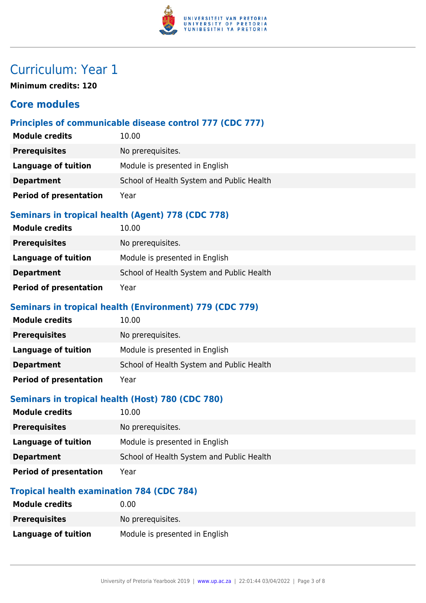

# Curriculum: Year 1

**Minimum credits: 120**

# **Core modules**

# **Principles of communicable disease control 777 (CDC 777)**

| <b>Module credits</b>         | 10.00                                     |
|-------------------------------|-------------------------------------------|
| <b>Prerequisites</b>          | No prerequisites.                         |
| Language of tuition           | Module is presented in English            |
| <b>Department</b>             | School of Health System and Public Health |
| <b>Period of presentation</b> | Year                                      |

### **Seminars in tropical health (Agent) 778 (CDC 778)**

| <b>Module credits</b>         | 10.00                                     |
|-------------------------------|-------------------------------------------|
| <b>Prerequisites</b>          | No prerequisites.                         |
| Language of tuition           | Module is presented in English            |
| <b>Department</b>             | School of Health System and Public Health |
| <b>Period of presentation</b> | Year                                      |

#### **Seminars in tropical health (Environment) 779 (CDC 779)**

| <b>Module credits</b>         | 10.00                                     |
|-------------------------------|-------------------------------------------|
| <b>Prerequisites</b>          | No prerequisites.                         |
| Language of tuition           | Module is presented in English            |
| <b>Department</b>             | School of Health System and Public Health |
| <b>Period of presentation</b> | Year                                      |

# **Seminars in tropical health (Host) 780 (CDC 780)**

| <b>Module credits</b>         | 10.00                                     |
|-------------------------------|-------------------------------------------|
| <b>Prerequisites</b>          | No prerequisites.                         |
| Language of tuition           | Module is presented in English            |
| <b>Department</b>             | School of Health System and Public Health |
| <b>Period of presentation</b> | Year                                      |

# **Tropical health examination 784 (CDC 784)**

| <b>Module credits</b> | 0.00                           |
|-----------------------|--------------------------------|
| <b>Prerequisites</b>  | No prerequisites.              |
| Language of tuition   | Module is presented in English |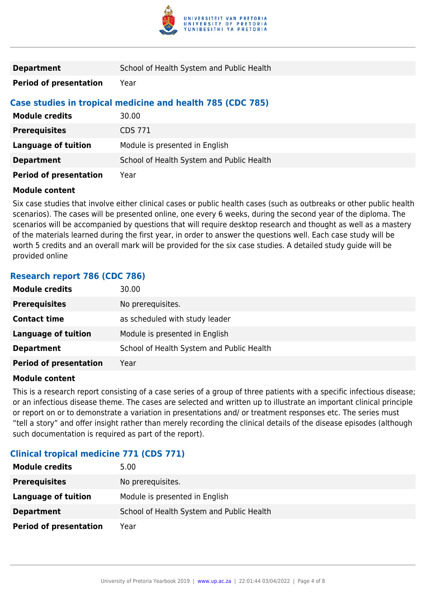

| <b>Department</b>             | School of Health System and Public Health                  |
|-------------------------------|------------------------------------------------------------|
| <b>Period of presentation</b> | Year                                                       |
|                               | Case studies in tropical medicine and health 785 (CDC 785) |
| <b>Module credits</b>         | 30.00                                                      |
| <b>Prerequisites</b>          | <b>CDS 771</b>                                             |
| Language of tuition           | Module is presented in English                             |
| <b>Department</b>             | School of Health System and Public Health                  |
| <b>Period of presentation</b> | Year                                                       |

#### **Module content**

Six case studies that involve either clinical cases or public health cases (such as outbreaks or other public health scenarios). The cases will be presented online, one every 6 weeks, during the second year of the diploma. The scenarios will be accompanied by questions that will require desktop research and thought as well as a mastery of the materials learned during the first year, in order to answer the questions well. Each case study will be worth 5 credits and an overall mark will be provided for the six case studies. A detailed study guide will be provided online

#### **Research report 786 (CDC 786)**

| <b>Module credits</b>         | 30.00                                     |
|-------------------------------|-------------------------------------------|
| <b>Prerequisites</b>          | No prerequisites.                         |
| <b>Contact time</b>           | as scheduled with study leader            |
| <b>Language of tuition</b>    | Module is presented in English            |
| <b>Department</b>             | School of Health System and Public Health |
| <b>Period of presentation</b> | Year                                      |

#### **Module content**

This is a research report consisting of a case series of a group of three patients with a specific infectious disease; or an infectious disease theme. The cases are selected and written up to illustrate an important clinical principle or report on or to demonstrate a variation in presentations and/ or treatment responses etc. The series must "tell a story" and offer insight rather than merely recording the clinical details of the disease episodes (although such documentation is required as part of the report).

### **Clinical tropical medicine 771 (CDS 771)**

| <b>Module credits</b>         | 5.00                                      |
|-------------------------------|-------------------------------------------|
| <b>Prerequisites</b>          | No prerequisites.                         |
| Language of tuition           | Module is presented in English            |
| <b>Department</b>             | School of Health System and Public Health |
| <b>Period of presentation</b> | Year                                      |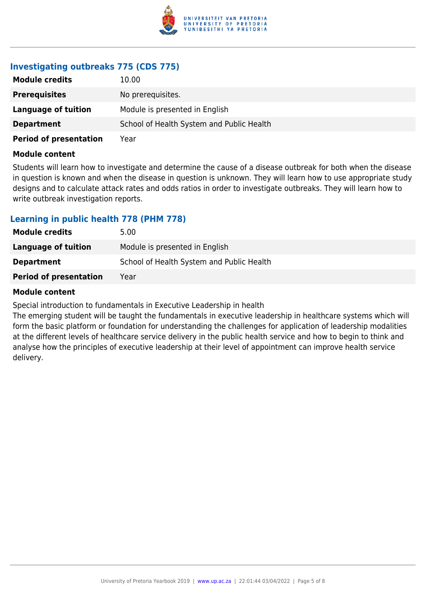

# **Investigating outbreaks 775 (CDS 775)**

| <b>Module credits</b>         | 10.00                                     |
|-------------------------------|-------------------------------------------|
| <b>Prerequisites</b>          | No prerequisites.                         |
| Language of tuition           | Module is presented in English            |
| <b>Department</b>             | School of Health System and Public Health |
| <b>Period of presentation</b> | Year                                      |

#### **Module content**

Students will learn how to investigate and determine the cause of a disease outbreak for both when the disease in question is known and when the disease in question is unknown. They will learn how to use appropriate study designs and to calculate attack rates and odds ratios in order to investigate outbreaks. They will learn how to write outbreak investigation reports.

#### **Learning in public health 778 (PHM 778)**

| <b>Module credits</b>         | 5.00                                      |
|-------------------------------|-------------------------------------------|
| Language of tuition           | Module is presented in English            |
| <b>Department</b>             | School of Health System and Public Health |
| <b>Period of presentation</b> | Year                                      |

#### **Module content**

Special introduction to fundamentals in Executive Leadership in health

The emerging student will be taught the fundamentals in executive leadership in healthcare systems which will form the basic platform or foundation for understanding the challenges for application of leadership modalities at the different levels of healthcare service delivery in the public health service and how to begin to think and analyse how the principles of executive leadership at their level of appointment can improve health service delivery.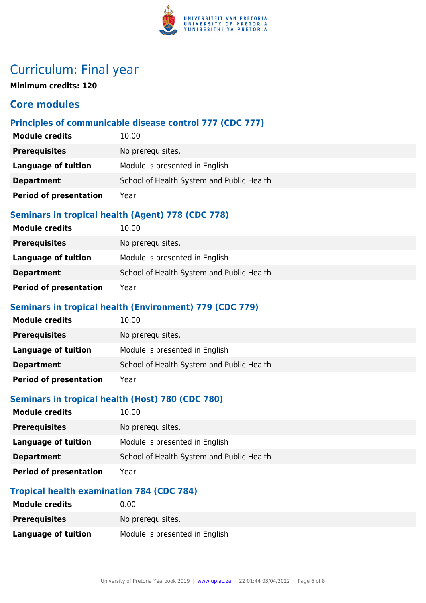

# Curriculum: Final year

**Minimum credits: 120**

# **Core modules**

# **Principles of communicable disease control 777 (CDC 777)**

| <b>Module credits</b>         | 10.00                                     |
|-------------------------------|-------------------------------------------|
| <b>Prerequisites</b>          | No prerequisites.                         |
| <b>Language of tuition</b>    | Module is presented in English            |
| <b>Department</b>             | School of Health System and Public Health |
| <b>Period of presentation</b> | Year                                      |

### **Seminars in tropical health (Agent) 778 (CDC 778)**

| <b>Module credits</b>         | 10.00                                     |
|-------------------------------|-------------------------------------------|
| <b>Prerequisites</b>          | No prerequisites.                         |
| Language of tuition           | Module is presented in English            |
| <b>Department</b>             | School of Health System and Public Health |
| <b>Period of presentation</b> | Year                                      |

### **Seminars in tropical health (Environment) 779 (CDC 779)**

| <b>Module credits</b>         | 10.00                                     |
|-------------------------------|-------------------------------------------|
| <b>Prerequisites</b>          | No prerequisites.                         |
| Language of tuition           | Module is presented in English            |
| <b>Department</b>             | School of Health System and Public Health |
| <b>Period of presentation</b> | Year                                      |

# **Seminars in tropical health (Host) 780 (CDC 780)**

| <b>Module credits</b>         | 10.00                                     |
|-------------------------------|-------------------------------------------|
| <b>Prerequisites</b>          | No prerequisites.                         |
| Language of tuition           | Module is presented in English            |
| <b>Department</b>             | School of Health System and Public Health |
| <b>Period of presentation</b> | Year                                      |

# **Tropical health examination 784 (CDC 784)**

| <b>Module credits</b>      | 0.00                           |
|----------------------------|--------------------------------|
| <b>Prerequisites</b>       | No prereguisites.              |
| <b>Language of tuition</b> | Module is presented in English |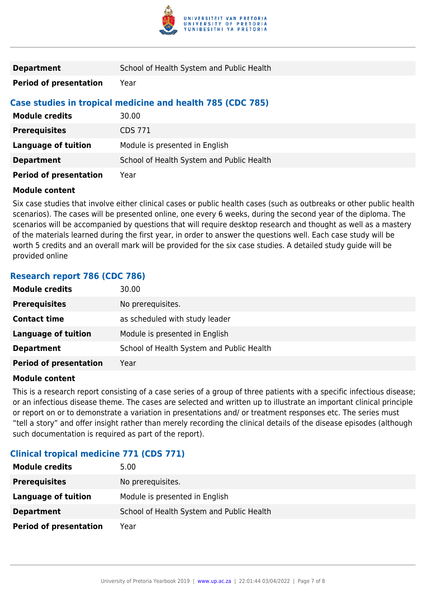

| <b>Department</b>             | School of Health System and Public Health                  |
|-------------------------------|------------------------------------------------------------|
| <b>Period of presentation</b> | Year                                                       |
|                               | Case studies in tropical medicine and health 785 (CDC 785) |
| <b>Module credits</b>         | 30.00                                                      |
| <b>Prerequisites</b>          | <b>CDS 771</b>                                             |
| Language of tuition           | Module is presented in English                             |
| <b>Department</b>             | School of Health System and Public Health                  |
| <b>Period of presentation</b> | Year                                                       |

#### **Module content**

Six case studies that involve either clinical cases or public health cases (such as outbreaks or other public health scenarios). The cases will be presented online, one every 6 weeks, during the second year of the diploma. The scenarios will be accompanied by questions that will require desktop research and thought as well as a mastery of the materials learned during the first year, in order to answer the questions well. Each case study will be worth 5 credits and an overall mark will be provided for the six case studies. A detailed study guide will be provided online

### **Research report 786 (CDC 786)**

| <b>Module credits</b>         | 30.00                                     |
|-------------------------------|-------------------------------------------|
| <b>Prerequisites</b>          | No prerequisites.                         |
| <b>Contact time</b>           | as scheduled with study leader            |
| <b>Language of tuition</b>    | Module is presented in English            |
| <b>Department</b>             | School of Health System and Public Health |
| <b>Period of presentation</b> | Year                                      |

#### **Module content**

This is a research report consisting of a case series of a group of three patients with a specific infectious disease; or an infectious disease theme. The cases are selected and written up to illustrate an important clinical principle or report on or to demonstrate a variation in presentations and/ or treatment responses etc. The series must "tell a story" and offer insight rather than merely recording the clinical details of the disease episodes (although such documentation is required as part of the report).

### **Clinical tropical medicine 771 (CDS 771)**

| <b>Module credits</b>         | 5.00                                      |
|-------------------------------|-------------------------------------------|
| <b>Prerequisites</b>          | No prerequisites.                         |
| Language of tuition           | Module is presented in English            |
| <b>Department</b>             | School of Health System and Public Health |
| <b>Period of presentation</b> | Year                                      |